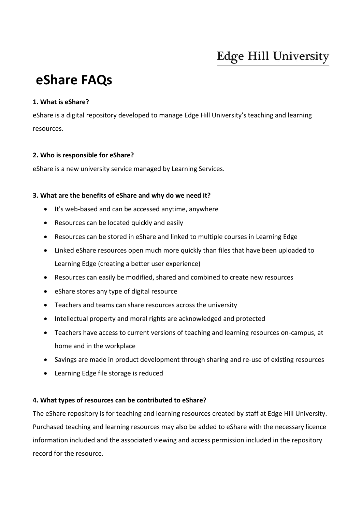# **Edge Hill University**

# **eShare FAQs**

## **1. What is eShare?**

eShare is a digital repository developed to manage Edge Hill University's teaching and learning resources.

## **2. Who is responsible for eShare?**

eShare is a new university service managed by Learning Services.

## **3. What are the benefits of eShare and why do we need it?**

- It's web-based and can be accessed anytime, anywhere
- Resources can be located quickly and easily
- Resources can be stored in eShare and linked to multiple courses in Learning Edge
- Linked eShare resources open much more quickly than files that have been uploaded to Learning Edge (creating a better user experience)
- Resources can easily be modified, shared and combined to create new resources
- eShare stores any type of digital resource
- Teachers and teams can share resources across the university
- Intellectual property and moral rights are acknowledged and protected
- Teachers have access to current versions of teaching and learning resources on-campus, at home and in the workplace
- Savings are made in product development through sharing and re-use of existing resources
- Learning Edge file storage is reduced

### **4. What types of resources can be contributed to eShare?**

The eShare repository is for teaching and learning resources created by staff at Edge Hill University. Purchased teaching and learning resources may also be added to eShare with the necessary licence information included and the associated viewing and access permission included in the repository record for the resource.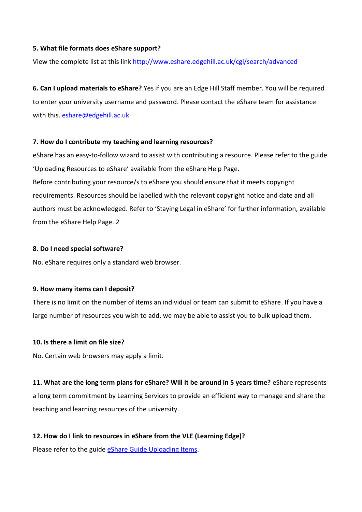### **5. What file formats does eShare support?**

View the complete list at this link http://www.eshare.edgehill.ac.uk/cgi/search/advanced

**6. Can I upload materials to eShare?** Yes if you are an Edge Hill Staff member. You will be required to enter your university username and password. Please contact the eShare team for assistance with this. eshare@edgehill.ac.uk

### **7. How do I contribute my teaching and learning resources?**

eShare has an easy-to-follow wizard to assist with contributing a resource. Please refer to the guide 'Uploading Resources to eShare' available from the eShare Help Page. Before contributing your resource/s to eShare you should ensure that it meets copyright requirements. Resources should be labelled with the relevant copyright notice and date and all authors must be acknowledged. Refer to 'Staying Legal in eShare' for further information, available from the eShare Help Page. 2

#### **8. Do I need special software?**

No. eShare requires only a standard web browser.

#### **9. How many items can I deposit?**

There is no limit on the number of items an individual or team can submit to eShare. If you have a large number of resources you wish to add, we may be able to assist you to bulk upload them.

#### **10. Is there a limit on file size?**

No. Certain web browsers may apply a limit.

**11. What are the long term plans for eShare? Will it be around in 5 years time?** eShare represents a long term commitment by Learning Services to provide an efficient way to manage and share the teaching and learning resources of the university.

### **12. How do I link to resources in eShare from the VLE (Learning Edge)?**

Please refer to the guide [eShare Guide Uploading Items.](http://eshare.edgehill.ac.uk/id/document/19531)